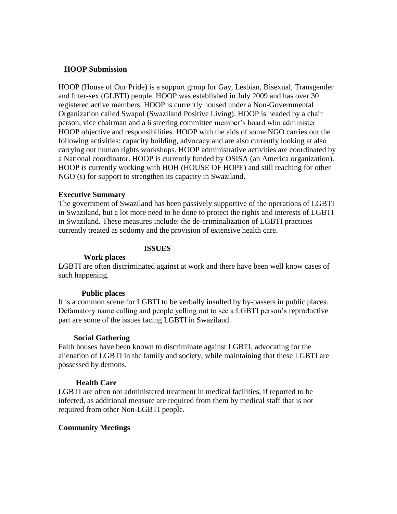## **HOOP Submission**

HOOP (House of Our Pride) is a support group for Gay, Lesbian, Bisexual, Transgender and Inter-sex (GLBTI) people. HOOP was established in July 2009 and has over 30 registered active members. HOOP is currently housed under a Non-Governmental Organization called Swapol (Swaziland Positive Living). HOOP is headed by a chair person, vice chairman and a 6 steering committee member's board who administer HOOP objective and responsibilities. HOOP with the aids of some NGO carries out the following activities: capacity building, advocacy and are also currently looking at also carrying out human rights workshops. HOOP administrative activities are coordinated by a National coordinator. HOOP is currently funded by OSISA (an America organization). HOOP is currently working with HOH (HOUSE OF HOPE) and still reaching for other NGO (s) for support to strengthen its capacity in Swaziland.

## **Executive Summary**

The government of Swaziland has been passively supportive of the operations of LGBTI in Swaziland, but a lot more need to be done to protect the rights and interests of LGBTI in Swaziland. These measures include: the de-criminalization of LGBTI practices currently treated as sodomy and the provision of extensive health care.

#### **ISSUES**

#### **Work places**

LGBTI are often discriminated against at work and there have been well know cases of such happening.

#### **Public places**

It is a common scene for LGBTI to be verbally insulted by by-passers in public places. Defamatory name calling and people yelling out to see a LGBTI person's reproductive part are some of the issues facing LGBTI in Swaziland.

#### **Social Gathering**

Faith houses have been known to discriminate against LGBTI, advocating for the alienation of LGBTI in the family and society, while maintaining that these LGBTI are possessed by demons.

## **Health Care**

LGBTI are often not administered treatment in medical facilities, if reported to be infected, as additional measure are required from them by medical staff that is not required from other Non-LGBTI people.

## **Community Meetings**